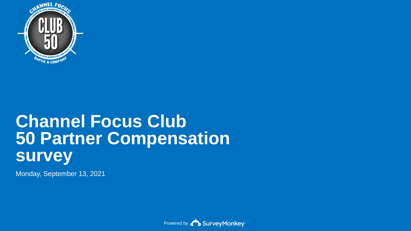

# **Channel Focus Club 50 Partner Compensation survey**

Monday, September 13, 2021

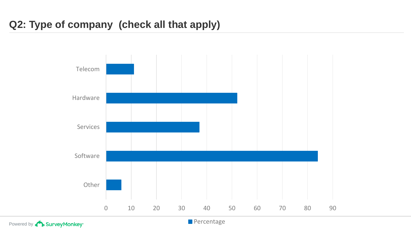## **Q2: Type of company (check all that apply)**



Powered by **BurveyMonkey**<sup>®</sup>

**Percentage**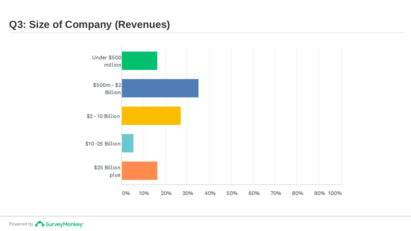## **Q3: Size of Company (Revenues)**

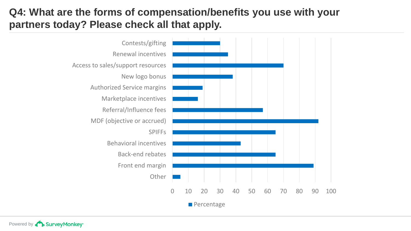## **Q4: What are the forms of compensation/benefits you use with your partners today? Please check all that apply.**

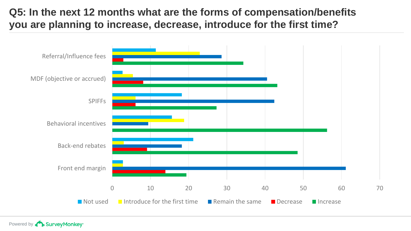## **Q5: In the next 12 months what are the forms of compensation/benefits you are planning to increase, decrease, introduce for the first time?**

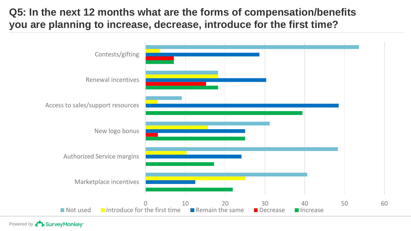## **Q5: In the next 12 months what are the forms of compensation/benefits you are planning to increase, decrease, introduce for the first time?**

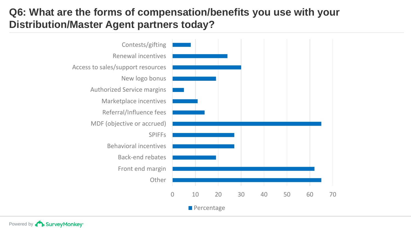## **Q6: What are the forms of compensation/benefits you use with your Distribution/Master Agent partners today?**

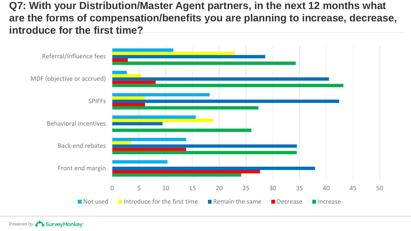**Q7: With your Distribution/Master Agent partners, in the next 12 months what are the forms of compensation/benefits you are planning to increase, decrease, introduce for the first time?** 

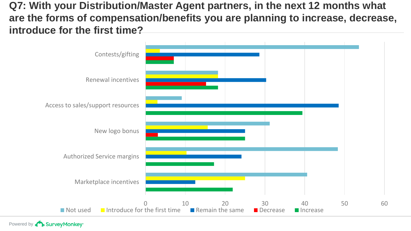**Q7: With your Distribution/Master Agent partners, in the next 12 months what are the forms of compensation/benefits you are planning to increase, decrease, introduce for the first time?** 

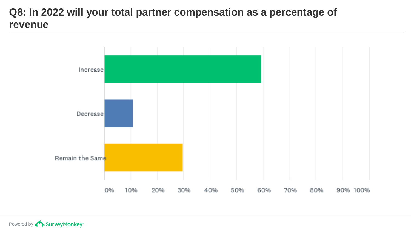## **Q8: In 2022 will your total partner compensation as a percentage of revenue**

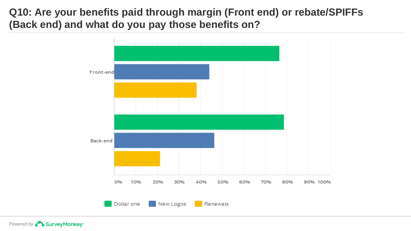**Q10: Are your benefits paid through margin (Front end) or rebate/SPIFFs (Back end) and what do you pay those benefits on?**

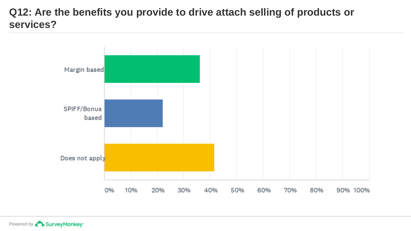## **Q12: Are the benefits you provide to drive attach selling of products or services?**

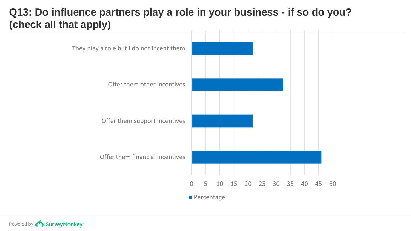## **Q13: Do influence partners play a role in your business - if so do you? (check all that apply)**

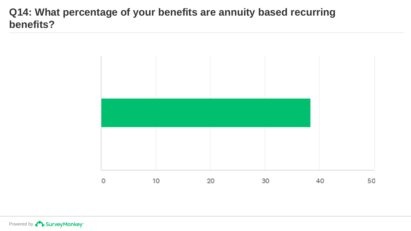## **Q14: What percentage of your benefits are annuity based recurring benefits?**

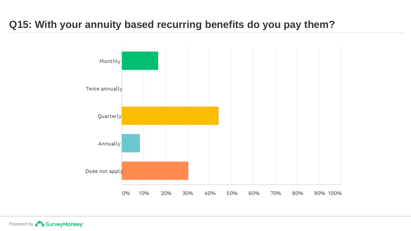## **Q15: With your annuity based recurring benefits do you pay them?**

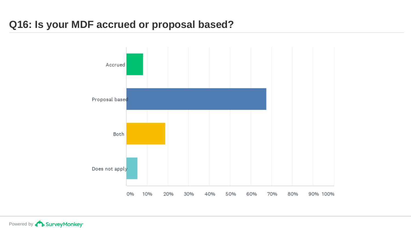## **Q16: Is your MDF accrued or proposal based?**

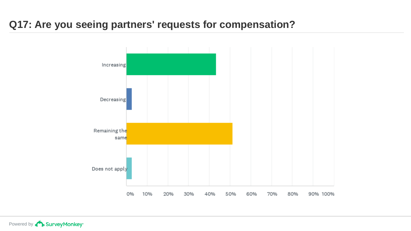## **Q17: Are you seeing partners' requests for compensation?**

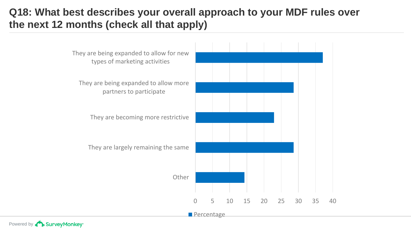## **Q18: What best describes your overall approach to your MDF rules over the next 12 months (check all that apply)**

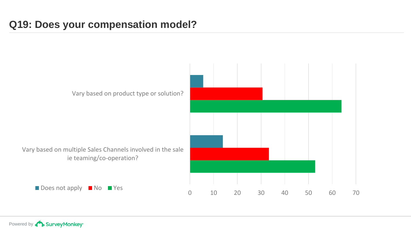## **Q19: Does your compensation model?**